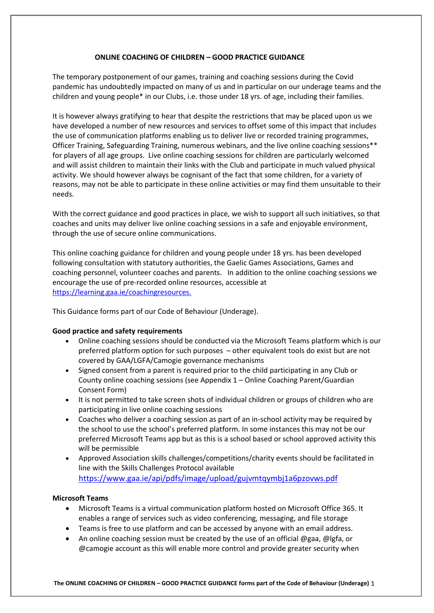## **ONLINE COACHING OF CHILDREN – GOOD PRACTICE GUIDANCE**

The temporary postponement of our games, training and coaching sessions during the Covid pandemic has undoubtedly impacted on many of us and in particular on our underage teams and the children and young people\* in our Clubs, i.e. those under 18 yrs. of age, including their families.

It is however always gratifying to hear that despite the restrictions that may be placed upon us we have developed a number of new resources and services to offset some of this impact that includes the use of communication platforms enabling us to deliver live or recorded training programmes, Officer Training, Safeguarding Training, numerous webinars, and the live online coaching sessions\*\* for players of all age groups. Live online coaching sessions for children are particularly welcomed and will assist children to maintain their links with the Club and participate in much valued physical activity. We should however always be cognisant of the fact that some children, for a variety of reasons, may not be able to participate in these online activities or may find them unsuitable to their needs.

With the correct guidance and good practices in place, we wish to support all such initiatives, so that coaches and units may deliver live online coaching sessions in a safe and enjoyable environment, through the use of secure online communications.

This online coaching guidance for children and young people under 18 yrs. has been developed following consultation with statutory authorities, the Gaelic Games Associations, Games and coaching personnel, volunteer coaches and parents. In addition to the online coaching sessions we encourage the use of pre-recorded online resources, accessible at https://learning.gaa.ie/coachingresources.

This Guidance forms part of our Code of Behaviour (Underage).

## **Good practice and safety requirements**

- Online coaching sessions should be conducted via the Microsoft Teams platform which is our preferred platform option for such purposes – other equivalent tools do exist but are not covered by GAA/LGFA/Camogie governance mechanisms
- Signed consent from a parent is required prior to the child participating in any Club or County online coaching sessions (see Appendix 1 – Online Coaching Parent/Guardian Consent Form)
- It is not permitted to take screen shots of individual children or groups of children who are participating in live online coaching sessions
- Coaches who deliver a coaching session as part of an in-school activity may be required by the school to use the school's preferred platform. In some instances this may not be our preferred Microsoft Teams app but as this is a school based or school approved activity this will be permissible
- Approved Association skills challenges/competitions/charity events should be facilitated in line with the Skills Challenges Protocol available <https://www.gaa.ie/api/pdfs/image/upload/gujvmtqymbj1a6pzovws.pdf>

## **Microsoft Teams**

- Microsoft Teams is a virtual communication platform hosted on Microsoft Office 365. It enables a range of services such as video conferencing, messaging, and file storage
- Teams is free to use platform and can be accessed by anyone with an email address.
- An online coaching session must be created by the use of an official @gaa, @lgfa, or @camogie account as this will enable more control and provide greater security when

**The ONLINE COACHING OF CHILDREN – GOOD PRACTICE GUIDANCE forms part of the Code of Behaviour (Underage)** 1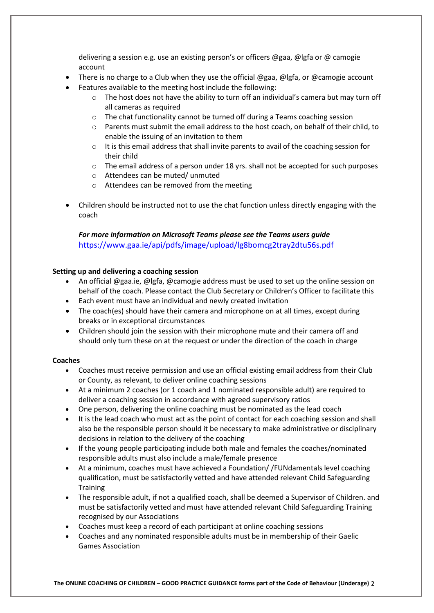delivering a session e.g. use an existing person's or officers @gaa, @lgfa or @ camogie account

- There is no charge to a Club when they use the official @gaa, @lgfa, or @camogie account
- Features available to the meeting host include the following:
	- $\circ$  The host does not have the ability to turn off an individual's camera but may turn off all cameras as required
	- o The chat functionality cannot be turned off during a Teams coaching session
	- o Parents must submit the email address to the host coach, on behalf of their child, to enable the issuing of an invitation to them
	- $\circ$  It is this email address that shall invite parents to avail of the coaching session for their child
	- o The email address of a person under 18 yrs. shall not be accepted for such purposes
	- o Attendees can be muted/ unmuted
	- o Attendees can be removed from the meeting
- Children should be instructed not to use the chat function unless directly engaging with the coach

## *For more information on Microsoft Teams please see the Teams users guide* <https://www.gaa.ie/api/pdfs/image/upload/lg8bomcg2tray2dtu56s.pdf>

## **Setting up and delivering a coaching session**

- An official @gaa.ie, @lgfa, @camogie address must be used to set up the online session on behalf of the coach. Please contact the Club Secretary or Children's Officer to facilitate this
- Each event must have an individual and newly created invitation
- The coach(es) should have their camera and microphone on at all times, except during breaks or in exceptional circumstances
- Children should join the session with their microphone mute and their camera off and should only turn these on at the request or under the direction of the coach in charge

## **Coaches**

- Coaches must receive permission and use an official existing email address from their Club or County, as relevant, to deliver online coaching sessions
- At a minimum 2 coaches (or 1 coach and 1 nominated responsible adult) are required to deliver a coaching session in accordance with agreed supervisory ratios
- One person, delivering the online coaching must be nominated as the lead coach
- It is the lead coach who must act as the point of contact for each coaching session and shall also be the responsible person should it be necessary to make administrative or disciplinary decisions in relation to the delivery of the coaching
- If the young people participating include both male and females the coaches/nominated responsible adults must also include a male/female presence
- At a minimum, coaches must have achieved a Foundation/ /FUNdamentals level coaching qualification, must be satisfactorily vetted and have attended relevant Child Safeguarding **Training**
- The responsible adult, if not a qualified coach, shall be deemed a Supervisor of Children. and must be satisfactorily vetted and must have attended relevant Child Safeguarding Training recognised by our Associations
- Coaches must keep a record of each participant at online coaching sessions
- Coaches and any nominated responsible adults must be in membership of their Gaelic Games Association

**The ONLINE COACHING OF CHILDREN – GOOD PRACTICE GUIDANCE forms part of the Code of Behaviour (Underage)** 2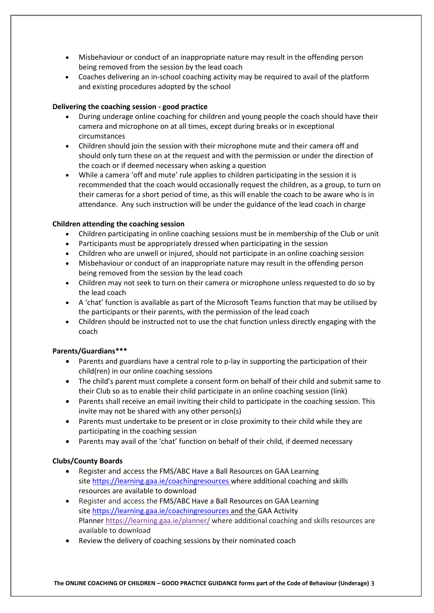- Misbehaviour or conduct of an inappropriate nature may result in the offending person being removed from the session by the lead coach
- Coaches delivering an in-school coaching activity may be required to avail of the platform and existing procedures adopted by the school

## **Delivering the coaching session - good practice**

- During underage online coaching for children and young people the coach should have their camera and microphone on at all times, except during breaks or in exceptional circumstances
- Children should join the session with their microphone mute and their camera off and should only turn these on at the request and with the permission or under the direction of the coach or if deemed necessary when asking a question
- While a camera 'off and mute' rule applies to children participating in the session it is recommended that the coach would occasionally request the children, as a group, to turn on their cameras for a short period of time, as this will enable the coach to be aware who is in attendance. Any such instruction will be under the guidance of the lead coach in charge

## **Children attending the coaching session**

- Children participating in online coaching sessions must be in membership of the Club or unit
- Participants must be appropriately dressed when participating in the session
- Children who are unwell or injured, should not participate in an online coaching session
- Misbehaviour or conduct of an inappropriate nature may result in the offending person being removed from the session by the lead coach
- Children may not seek to turn on their camera or microphone unless requested to do so by the lead coach
- A 'chat' function is available as part of the Microsoft Teams function that may be utilised by the participants or their parents, with the permission of the lead coach
- Children should be instructed not to use the chat function unless directly engaging with the coach

## **Parents/Guardians\*\*\***

- Parents and guardians have a central role to p-lay in supporting the participation of their child(ren) in our online coaching sessions
- The child's parent must complete a consent form on behalf of their child and submit same to their Club so as to enable their child participate in an online coaching session (link)
- Parents shall receive an email inviting their child to participate in the coaching session. This invite may not be shared with any other person(s)
- Parents must undertake to be present or in close proximity to their child while they are participating in the coaching session
- Parents may avail of the 'chat' function on behalf of their child, if deemed necessary

## **Clubs/County Boards**

- Register and access the FMS/ABC Have a Ball Resources on GAA Learning site <https://learning.gaa.ie/coachingresources> where additional coaching and skills resources are available to download
- Register and access the FMS/ABC Have a Ball Resources on GAA Learning site <https://learning.gaa.ie/coachingresources> and the GAA Activity Planner <https://learning.gaa.ie/planner/> where additional coaching and skills resources are available to download
- Review the delivery of coaching sessions by their nominated coach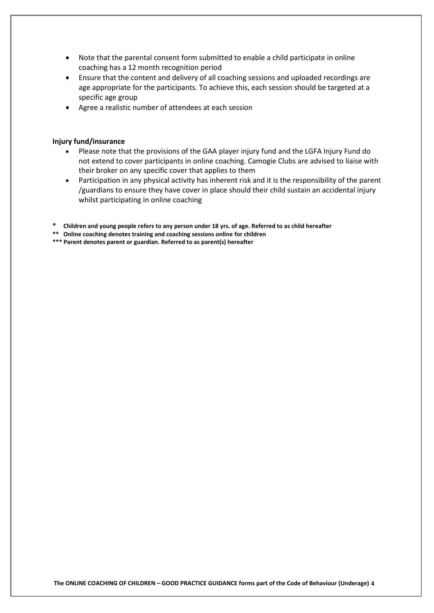- Note that the parental consent form submitted to enable a child participate in online coaching has a 12 month recognition period
- Ensure that the content and delivery of all coaching sessions and uploaded recordings are age appropriate for the participants. To achieve this, each session should be targeted at a specific age group
- Agree a realistic number of attendees at each session

#### **Injury fund/insurance**

- Please note that the provisions of the GAA player injury fund and the LGFA Injury Fund do not extend to cover participants in online coaching. Camogie Clubs are advised to liaise with their broker on any specific cover that applies to them
- Participation in any physical activity has inherent risk and it is the responsibility of the parent /guardians to ensure they have cover in place should their child sustain an accidental injury whilst participating in online coaching
- **\* Children and young people refers to any person under 18 yrs. of age. Referred to as child hereafter**
- **\*\* Online coaching denotes training and coaching sessions online for children**
- **\*\*\* Parent denotes parent or guardian. Referred to as parent(s) hereafter**